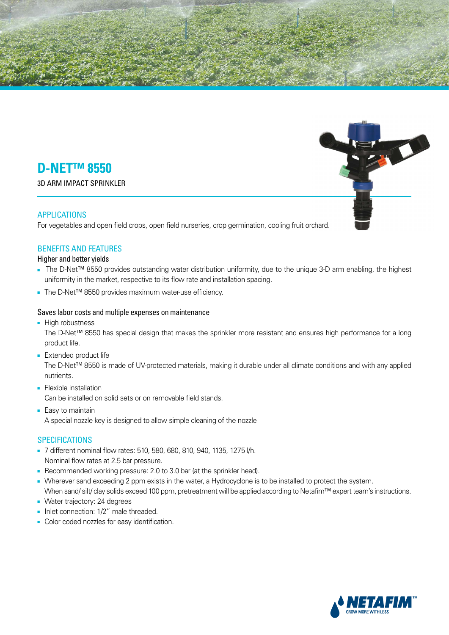# **D-NET<sup>™</sup>8550**

**3D ARM IMPACT SPRINKLER** 

## APPLICATIONS

For vegetables and open field crops, open field nurseries, crop germination, cooling fruit orchard.

## **BENEFITS AND FEATURES**

Higher and better yields

- The D-Net<sup>™</sup> 8550 provides outstanding water distribution uniformity, due to the unique 3-D arm enabling, the highest uniformity in the market, respective to its flow rate and installation spacing.
- The D-Net<sup>TM</sup> 8550 provides maximum water-use efficiency.

#### Saves labor costs and multiple expenses on maintenance

■ High robustness

The D-Net™ 8550 has special design that makes the sprinkler more resistant and ensures high performance for a long product life.

■ Extended product life

The D-Net™ 8550 is made of UV-protected materials, making it durable under all climate conditions and with any applied .nutrients

- Flexible installation Can be installed on solid sets or on removable field stands.
- Easy to maintain A special nozzle key is designed to allow simple cleaning of the nozzle

## **SPECIFICATIONS**

- 7 different nominal flow rates: 510, 580, 680, 810, 940, 1135, 1275 l/h. Nominal flow rates at 2.5 bar pressure.
- Recommended working pressure: 2.0 to 3.0 bar (at the sprinkler head).
- . Wherever sand exceeding 2 ppm exists in the water, a Hydrocyclone is to be installed to protect the system. When sand/silt/clay solids exceed 100 ppm, pretreatment will be applied according to Netafim™ expert team's instructions.
- Water trajectory: 24 degrees
- **-** Inlet connection: 1/2" male threaded.
- Color coded nozzles for easy identification.

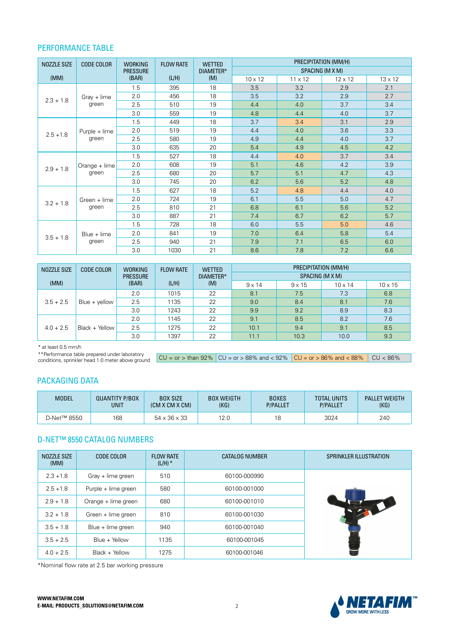# PERFORMANCE TABLE

| NOZZLE SIZE | <b>CODE COLOR</b>       | <b>WORKING</b>  | <b>FLOW RATE</b> | <b>WETTED</b> | PRECIPITATION (MM/H) |                |                |                |  |
|-------------|-------------------------|-----------------|------------------|---------------|----------------------|----------------|----------------|----------------|--|
|             |                         | <b>PRESSURE</b> |                  | DIAMETER*     | SPACING (M X M)      |                |                |                |  |
| (MM)        |                         | (BAR)           | (L/H)            | (M)           | $10 \times 12$       | $11 \times 12$ | $12 \times 12$ | $13 \times 12$ |  |
|             | $Gray + lime$           | 1.5             | 395              | 18            | 3.5                  | 3.2            | 2.9            | 2.1            |  |
| $2.3 + 1.8$ |                         | 2.0             | 456              | 18            | 3.5                  | 3.2            | 2.9            | 2.7            |  |
|             | green                   | 2.5             | 510              | 19            | 4.4                  | 4.0            | 3.7            | 3.4            |  |
|             |                         | 3.0             | 559              | 19            | 4.8                  | 4.4            | 4.0            | 3.7            |  |
|             |                         | 1.5             | 449              | 18            | 3.7                  | 3.4            | 3.1            | 2.9            |  |
| $2.5 + 1.8$ | Purple + lime<br>green  | 2.0             | 519              | 19            | 4.4                  | 4.0            | 3.6            | 3.3            |  |
|             |                         | 2.5             | 580              | 19            | 4.9                  | 4.4            | 4.0            | 3.7            |  |
|             |                         | 3.0             | 635              | 20            | 5.4                  | 4.9            | 4.5            | 4.2            |  |
|             | Orange + lime<br>green  | 1.5             | 527              | 18            | 4.4                  | 4.0            | 3.7            | 3.4            |  |
| $2.9 + 1.8$ |                         | 2.0             | 608              | 19            | 5.1                  | 4.6            | 4.2            | 3.9            |  |
|             |                         | 2.5             | 680              | 20            | 5.7                  | 5.1            | 4.7            | 4.3            |  |
|             |                         | 3.0             | 745              | 20            | 6.2                  | 5.6            | 5.2            | 4.8            |  |
|             | $Green + lime$<br>green | 1.5             | 627              | 18            | 5.2                  | 4.8            | 4.4            | 4.0            |  |
| $3.2 + 1.8$ |                         | 2.0             | 724              | 19            | 6.1                  | 5.5            | 5.0            | 4.7            |  |
|             |                         | 2.5             | 810              | 21            | 6.8                  | 6.1            | 5.6            | 5.2            |  |
|             |                         | 3.0             | 887              | 21            | 7.4                  | 6.7            | 6.2            | 5.7            |  |
| $3.5 + 1.8$ | Blue + lime<br>green    | 1.5             | 728              | 18            | 6.0                  | 5.5            | 5.0            | 4.6            |  |
|             |                         | 2.0             | 841              | 19            | 7.0                  | 6.4            | 5.8            | 5.4            |  |
|             |                         | 2.5             | 940              | 21            | 7.9                  | 7.1            | 6.5            | 6.0            |  |
|             |                         | 3.0             | 1030             | 21            | 8.6                  | 7.8            | 7.2            | 6.6            |  |

| NOZZLE SIZE | <b>CODE COLOR</b> | <b>WORKING</b>  | <b>FLOW RATE</b> | <b>WETTED</b> | PRECIPITATION (MM/H) |               |                |                |  |
|-------------|-------------------|-----------------|------------------|---------------|----------------------|---------------|----------------|----------------|--|
|             |                   | <b>PRESSURE</b> |                  | DIAMETER*     | SPACING (M X M)      |               |                |                |  |
| (MM)        |                   | (BAR)           | (L/H)            | (M)           | $9 \times 14$        | $9 \times 15$ | $10 \times 14$ | $10 \times 15$ |  |
| $3.5 + 2.5$ | $Blue + yellow$   | 2.0             | 1015             | 22            | 8.1                  | 7.5           | 7.3            | 6.8            |  |
|             |                   | 2.5             | 1135             | 22            | 9.0                  | 8.4           | 8.1            | 7.6            |  |
|             |                   | 3.0             | 1243             | 22            | 9.9                  | 9.2           | 8.9            | 8.3            |  |
| $4.0 + 2.5$ | Black + Yellow    | 2.0             | 1145             | 22            | 9.1                  | 8.5           | 8.2            | 7.6            |  |
|             |                   | 2.5             | 1275             | 22            | 10.1                 | 9.4           | 9.1            | 8.5            |  |
|             |                   | 3.0             | 1397             | 22            | 11.1                 | 10.3          | 10.0           | 9.3            |  |

 $*$  at least 0.5 mm/h

\*\*Performance table prepared under laboratory conditions, sprinkler head 1.0 meter above ground

 $SU = 6r > \frac{1}{100}$  CU =  $\frac{1}{100}$  CU =  $\frac{1}{100}$  and  $\frac{1}{100}$  s  $SU = 68\%$  and  $\frac{1}{100}$  CU  $\frac{1}{100}$  CU  $\frac{1}{100}$  CU  $\frac{1}{100}$  CU  $\frac{1}{100}$ 

## PACKAGING DATA

| <b>MODEL</b> | <b>QUANTITY P/BOX</b> | <b>BOX SIZE</b>          | <b>BOX WEIGTH</b> | <b>BOXES</b>    | <b>TOTAL UNITS</b> | <b>PALLET WEIGTH</b> |
|--------------|-----------------------|--------------------------|-------------------|-----------------|--------------------|----------------------|
|              | <b>UNIT</b>           | (CM X CM X CM)           | (KG)              | <b>P/PALLET</b> | <b>P/PALLET</b>    | (KG)                 |
| D-Net™ 8550  | 168                   | $54 \times 36 \times 33$ | 12.0              | 18              | 3024               | 240                  |

# **D-NET™ 8550 CATALOG NUMBERS**

| NOZZLE SIZE<br>(MM) | CODE COLOR          | <b>FLOW RATE</b><br>$(L/H)$ * | <b>CATALOG NUMBER</b> | SPRINKLER ILLUSTRATION |
|---------------------|---------------------|-------------------------------|-----------------------|------------------------|
| $2.3 + 1.8$         | $Gray + lime$ green | 510                           | 60100-000990          |                        |
| $2.5 + 1.8$         | Purple + lime green | 580                           | 60100-001000          |                        |
| $2.9 + 1.8$         | Orange + lime green | 680                           | 60100-001010          |                        |
| $3.2 + 1.8$         | Green + lime green  | 810                           | 60100-001030          |                        |
| $3.5 + 1.8$         | Blue + lime green   | 940                           | 60100-001040          |                        |
| $3.5 + 2.5$         | Blue + Yellow       | 1135                          | 60100-001045          |                        |
| $4.0 + 2.5$         | Black + Yellow      | 1275                          | 60100-001046          |                        |

\*Nominal flow rate at 2.5 bar working pressure